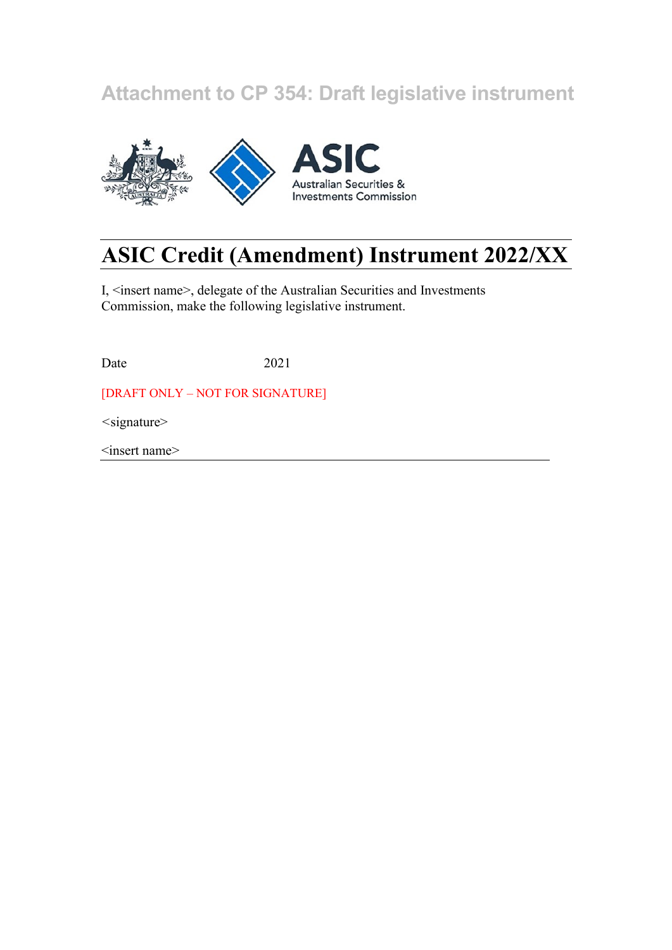## **Attachment to CP 354: Draft legislative instrument**



# **ASIC Credit (Amendment) Instrument 2022/XX**

I, <insert name>, delegate of the Australian Securities and Investments Commission, make the following legislative instrument.

Date 2021

[DRAFT ONLY – NOT FOR SIGNATURE]

*<*signature>

<insert name>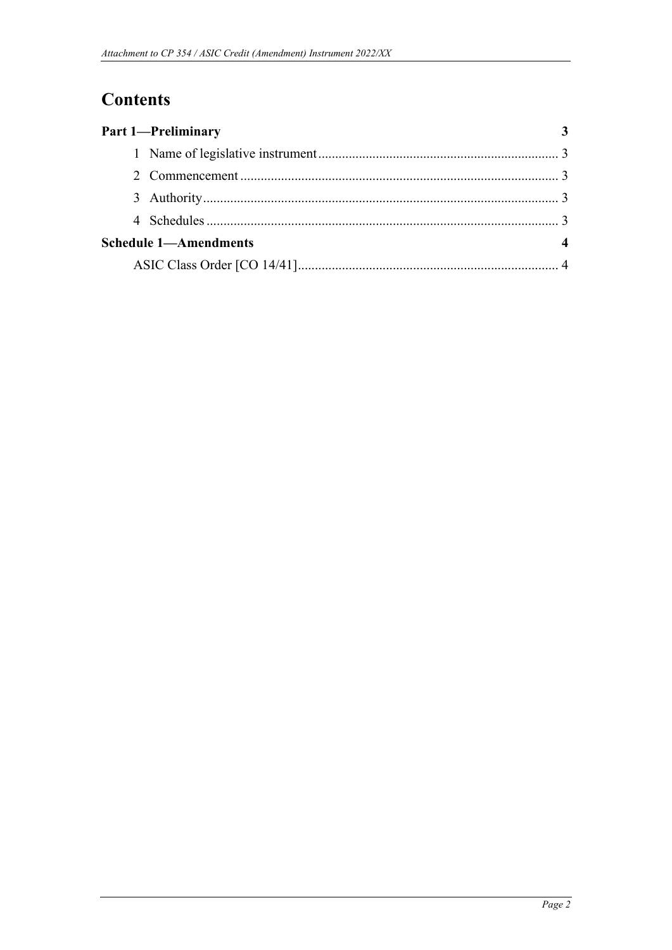## **Contents**

| <b>Part 1-Preliminary</b>    |  |
|------------------------------|--|
|                              |  |
|                              |  |
|                              |  |
|                              |  |
| <b>Schedule 1-Amendments</b> |  |
|                              |  |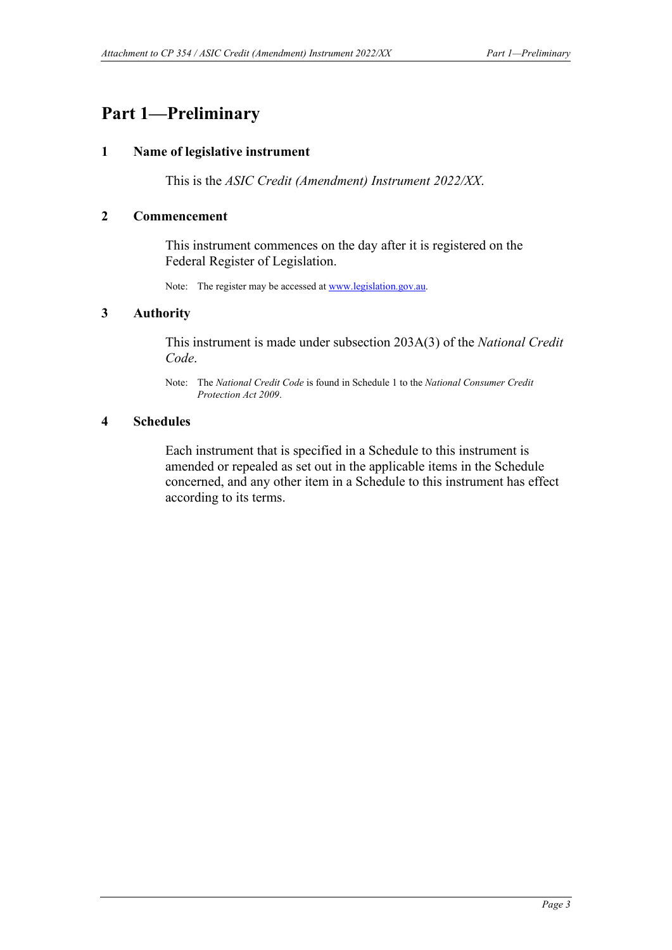## <span id="page-2-1"></span><span id="page-2-0"></span>**Part 1—Preliminary**

#### **1 Name of legislative instrument**

This is the *ASIC Credit (Amendment) Instrument 2022/XX*.

#### <span id="page-2-2"></span>**2 Commencement**

This instrument commences on the day after it is registered on the Federal Register of Legislation.

Note: The register may be accessed a[t www.legislation.gov.au.](http://www.legislation.gov.au/)

#### <span id="page-2-3"></span>**3 Authority**

This instrument is made under subsection 203A(3) of the *National Credit Code*.

Note: The *National Credit Code* is found in Schedule 1 to the *National Consumer Credit Protection Act 2009*.

#### <span id="page-2-4"></span>**4 Schedules**

Each instrument that is specified in a Schedule to this instrument is amended or repealed as set out in the applicable items in the Schedule concerned, and any other item in a Schedule to this instrument has effect according to its terms.